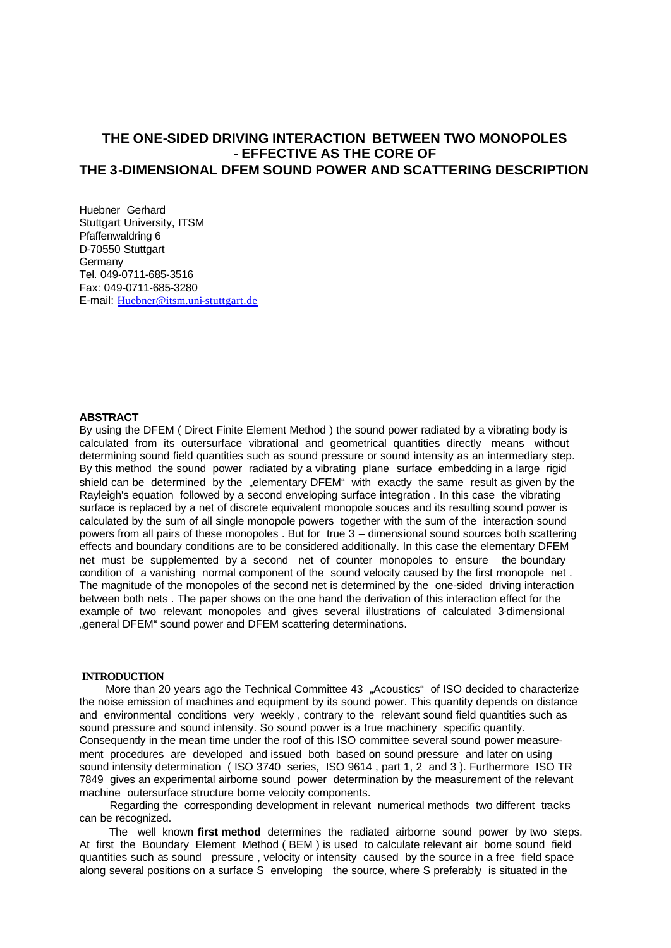# **THE ONE-SIDED DRIVING INTERACTION BETWEEN TWO MONOPOLES - EFFECTIVE AS THE CORE OF THE 3-DIMENSIONAL DFEM SOUND POWER AND SCATTERING DESCRIPTION**

Huebner Gerhard Stuttgart University, ITSM Pfaffenwaldring 6 D-70550 Stuttgart Germany Tel. 049-0711-685-3516 Fax: 049-0711-685-3280 E-mail: Huebner@itsm.uni-stuttgart.de

### **ABSTRACT**

By using the DFEM ( Direct Finite Element Method ) the sound power radiated by a vibrating body is calculated from its outersurface vibrational and geometrical quantities directly means without determining sound field quantities such as sound pressure or sound intensity as an intermediary step. By this method the sound power radiated by a vibrating plane surface embedding in a large rigid shield can be determined by the "elementary DFEM" with exactly the same result as given by the Rayleigh's equation followed by a second enveloping surface integration . In this case the vibrating surface is replaced by a net of discrete equivalent monopole souces and its resulting sound power is calculated by the sum of all single monopole powers together with the sum of the interaction sound powers from all pairs of these monopoles . But for true 3 – dimensional sound sources both scattering effects and boundary conditions are to be considered additionally. In this case the elementary DFEM net must be supplemented by a second net of counter monopoles to ensure the boundary condition of a vanishing normal component of the sound velocity caused by the first monopole net . The magnitude of the monopoles of the second net is determined by the one-sided driving interaction between both nets . The paper shows on the one hand the derivation of this interaction effect for the example of two relevant monopoles and gives several illustrations of calculated 3-dimensional "general DFEM" sound power and DFEM scattering determinations.

#### **INTRODUCTION**

More than 20 years ago the Technical Committee 43 "Acoustics" of ISO decided to characterize the noise emission of machines and equipment by its sound power. This quantity depends on distance and environmental conditions very weekly , contrary to the relevant sound field quantities such as sound pressure and sound intensity. So sound power is a true machinery specific quantity. Consequently in the mean time under the roof of this ISO committee several sound power measurement procedures are developed and issued both based on sound pressure and later on using sound intensity determination ( ISO 3740 series, ISO 9614, part 1, 2 and 3). Furthermore ISO TR 7849 gives an experimental airborne sound power determination by the measurement of the relevant machine outersurface structure borne velocity components.

 Regarding the corresponding development in relevant numerical methods two different tracks can be recognized.

 The well known **first method** determines the radiated airborne sound power by two steps. At first the Boundary Element Method ( BEM ) is used to calculate relevant air borne sound field quantities such as sound pressure , velocity or intensity caused by the source in a free field space along several positions on a surface S enveloping the source, where S preferably is situated in the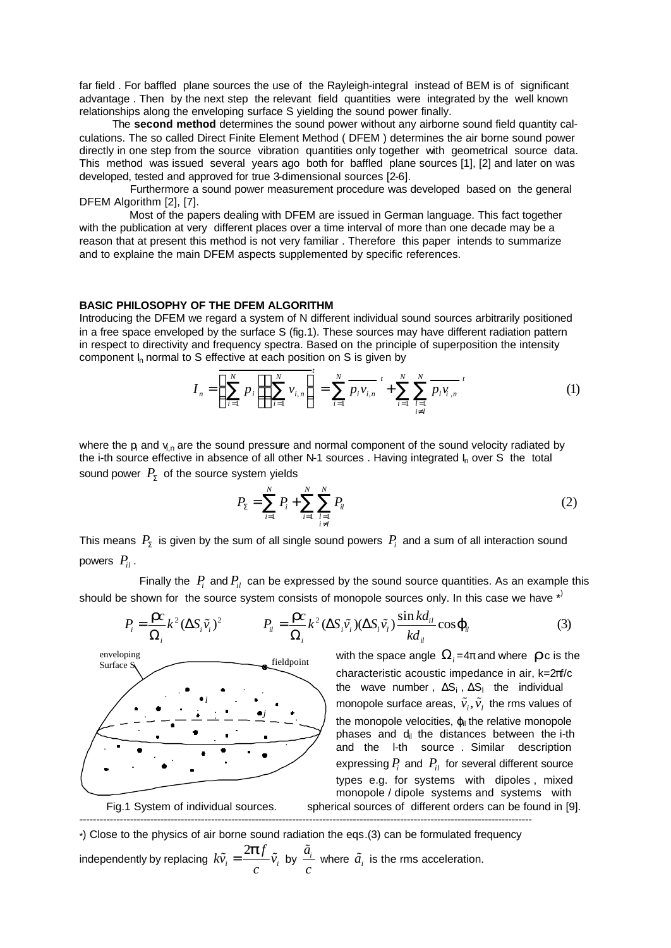far field . For baffled plane sources the use of the Rayleigh-integral instead of BEM is of significant advantage . Then by the next step the relevant field quantities were integrated by the well known relationships along the enveloping surface S yielding the sound power finally.

 The **second method** determines the sound power without any airborne sound field quantity calculations. The so called Direct Finite Element Method ( DFEM ) determines the air borne sound power directly in one step from the source vibration quantities only together with geometrical source data. This method was issued several years ago both for baffled plane sources [1], [2] and later on was developed, tested and approved for true 3-dimensional sources [2-6].

 Furthermore a sound power measurement procedure was developed based on the general DFEM Algorithm [2], [7].

 Most of the papers dealing with DFEM are issued in German language. This fact together with the publication at very different places over a time interval of more than one decade may be a reason that at present this method is not very familiar . Therefore this paper intends to summarize and to explaine the main DFEM aspects supplemented by specific references.

### **BASIC PHILOSOPHY OF THE DFEM ALGORITHM**

Introducing the DFEM we regard a system of N different individual sound sources arbitrarily positioned in a free space enveloped by the surface S (fig.1). These sources may have different radiation pattern in respect to directivity and frequency spectra. Based on the principle of superposition the intensity component  $I_n$  normal to S effective at each position on S is given by

$$
I_{n} = \left(\sum_{i=1}^{N} p_{i}\right)\left(\sum_{i=1}^{N} v_{i,n}\right)^{t} = \sum_{i=1}^{N} \overline{p_{i}v_{i,n}}^{t} + \sum_{i=1}^{N} \sum_{\substack{l=1 \ l \neq l}}^{N} \overline{p_{l}v_{i,n}}^{t}
$$
(1)

where the  $p_i$  and  $v_{i,n}$  are the sound pressure and normal component of the sound velocity radiated by the i-th source effective in absence of all other N-1 sources . Having integrated  $I_n$  over S the total sound power  $\,P_{_\Sigma}\,$  of the source system yields

$$
P_{\Sigma} = \sum_{i=1}^{N} P_i + \sum_{i=1}^{N} \sum_{\substack{l=1 \ i \neq l}}^{N} P_{il}
$$
 (2)

This means  $P_{\Sigma}$  is given by the sum of all single sound powers  $P_i$  and a sum of all interaction sound powers  $P_{ii}$ .

Finally the  $P_i$  and  $P_i$  can be expressed by the sound source quantities. As an example this should be shown for the source system consists of monopole sources only. In this case we have  $*$ 





with the space angle  $\, \Omega_{i} \,$ =4 $\pi$  and where  $\,$  **r**<sup>c</sup> is the characteristic acoustic impedance in air, k=2πf/c the wave number,  $\Delta S_i$ ,  $\Delta S_i$  the individual monopole surface areas,  $\tilde{v}_{i}, \tilde{v}_{l}$  the rms values of the monopole velocities,  $\varphi$ <sub>il</sub> the relative monopole phases and  $d_{il}$  the distances between the i-th and the l-th source . Similar description expressing  $P_i$  and  $P_{il}$  for several different source types e.g. for systems with dipoles , mixed monopole / dipole systems and systems with Fig.1 System of individual sources. spherical sources of different orders can be found in [9].

\*) Close to the physics of air borne sound radiation the eqs.(3) can be formulated frequency independently by replacing  $k\tilde{\nu}_{i}=\frac{2}{\tilde{\nu}_{i}}$  $i - v_i$  $k\tilde{v}_i = \frac{2\mathbf{p}f}{v_i}$ *c*  $\tilde{v}_i = \frac{2\mathbf{p} f}{\tilde{v}_i} \tilde{v}_j$  by  $\frac{\tilde{a}_i}{\tilde{v}_j}$ *c*  $\tilde{a}$ where  $\tilde{a}_i$  is the rms acceleration.

--------------------------------------------------------------------------------------------------------------------------------------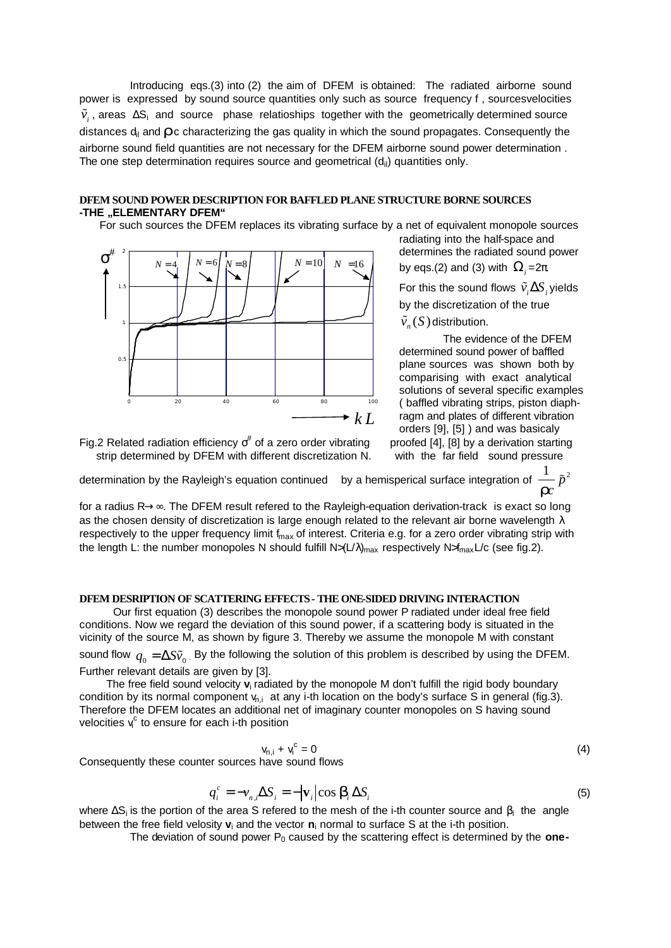Introducing eqs.(3) into (2) the aim of DFEM is obtained: The radiated airborne sound power is expressed by sound source quantities only such as source frequency f , sourcesvelocities  $\tilde{v}_i$ , areas  $\Delta S_i$  and source phase relatioships together with the geometrically determined source distances d<sub>il</sub> and *r*c characterizing the gas quality in which the sound propagates. Consequently the airborne sound field quantities are not necessary for the DFEM airborne sound power determination . The one step determination requires source and geometrical  $(d_{ii})$  quantities only.

## **DFEM SOUND POWER DESCRIPTION FOR BAFFLED PLANE STRUCTURE BORNE SOURCES -THE "ELEMENTARY DFEM"**

For such sources the DFEM replaces its vibrating surface by a net of equivalent monopole sources



radiating into the half-space and determines the radiated sound power

by eqs.(2) and (3) with  $\Omega_i$ =2π.

For this the sound flows  $\tilde{v}_i \Delta S_i$  yields by the discretization of the true  $\tilde{v}_n(S)$  distribution.

 The evidence of the DFEM determined sound power of baffled plane sources was shown both by comparising with exact analytical solutions of several specific examples ( baffled vibrating strips, piston diaphragm and plates of different vibration orders [9], [5] ) and was basicaly

Fig.2 Related radiation efficiency  $\sigma^{\#}$ strip determined by DFEM with different discretization N. with the far field sound pressure

proofed [4], [8] by a derivation starting

determination by the Rayleigh's equation continued by a hemisperical surface integration of  $\displaystyle{\frac{1}{\bm{r}c}\,\tilde{p}^2}$ 

for a radius R→∞. The DFEM result refered to the Rayleigh-equation derivation-track is exact so long as the chosen density of discretization is large enough related to the relevant air borne wavelength  $\lambda$ respectively to the upper frequency limit  $f_{max}$  of interest. Criteria e.g. for a zero order vibrating strip with the length L: the number monopoles N should fulfill  $N_{\text{max}}(L/\lambda)_{\text{max}}$  respectively  $N_{\text{max}}L/c$  (see fig.2).

### **DFEM DESRIPTION OF SCATTERING EFFECTS - THE ONE-SIDED DRIVING INTERACTION**

Our first equation (3) describes the monopole sound power P radiated under ideal free field conditions. Now we regard the deviation of this sound power, if a scattering body is situated in the vicinity of the source M, as shown by figure 3. Thereby we assume the monopole M with constant sound flow  $q_0 = \Delta S\tilde{v}_0$ . By the following the solution of this problem is described by using the DFEM. Further relevant details are given by [3].

 The free field sound velocity **v**<sup>i</sup> radiated by the monopole M don't fulfill the rigid body boundary condition by its normal component  $v_{n,i}$  at any i-th location on the body's surface S in general (fig.3). Therefore the DFEM locates an additional net of imaginary counter monopoles on S having sound velocities  $v_i^c$  to ensure for each i-th position

$$
V_{n,i} + V_i^c = 0 \tag{4}
$$

Consequently these counter sources have sound flows

$$
q_i^c = -v_{n,i} \Delta S_i = -|\mathbf{v}_i|\cos \boldsymbol{b}_i \Delta S_i \tag{5}
$$

where  $\Delta S_i$  is the portion of the area S refered to the mesh of the i-th counter source and  $β_i$  the angle between the free field velosity **v**<sub>i</sub> and the vector **n**<sub>i</sub> normal to surface S at the i-th position.

The deviation of sound power  $P_0$  caused by the scattering effect is determined by the **one-**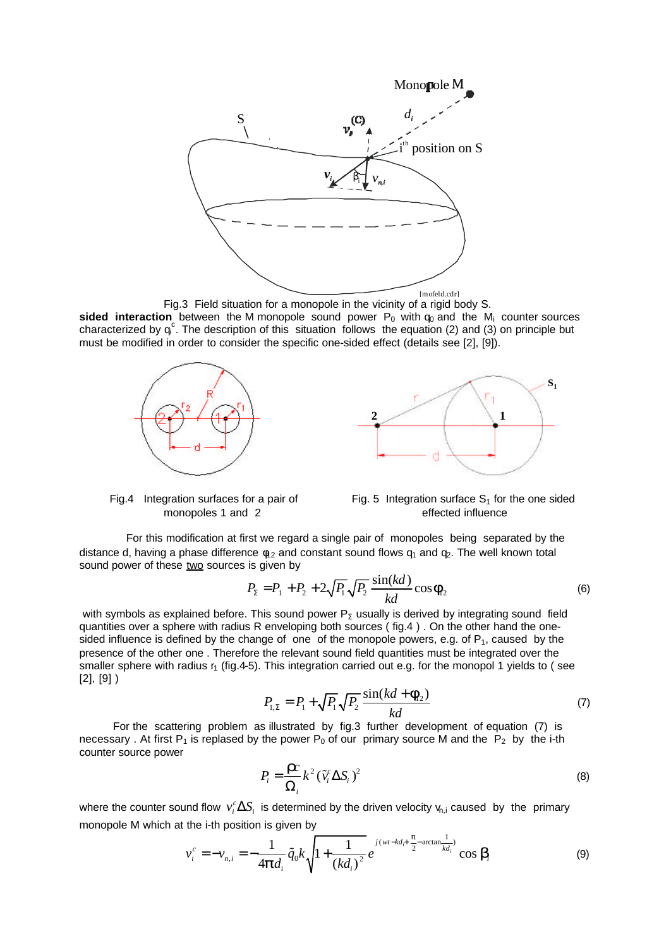

Fig.3 Field situation for a monopole in the vicinity of a rigid body S.

sided interaction between the M monopole sound power  $P_0$  with  $q_0$  and the  $M_i$  counter sources characterized by  $q_i^c$ . The description of this situation follows the equation (2) and (3) on principle but must be modified in order to consider the specific one-sided effect (details see [2], [9]).





monopoles 1 and  $2$ 



 For this modification at first we regard a single pair of monopoles being separated by the distance d, having a phase difference  $\phi_{12}$  and constant sound flows  $q_1$  and  $q_2$ . The well known total sound power of these two sources is given by

$$
P_{\Sigma} = P_1 + P_2 + 2\sqrt{P_1}\sqrt{P_2} \frac{\sin(kd)}{kd} \cos \mathbf{f}_{12}
$$
 (6)

with symbols as explained before. This sound power  $P_{\Sigma}$  usually is derived by integrating sound field quantities over a sphere with radius R enveloping both sources ( fig.4 ) . On the other hand the onesided influence is defined by the change of one of the monopole powers, e.g. of  $P_1$ , caused by the presence of the other one . Therefore the relevant sound field quantities must be integrated over the smaller sphere with radius  $r_1$  (fig.4-5). This integration carried out e.g. for the monopol 1 yields to ( see [2], [9] )

$$
P_{1,\Sigma} = P_1 + \sqrt{P_1} \sqrt{P_2} \frac{\sin(kd + f_{12})}{kd}
$$
 (7)

 For the scattering problem as illustrated by fig.3 further development of equation (7) is necessary . At first P<sub>1</sub> is replased by the power P<sub>0</sub> of our primary source M and the P<sub>2</sub> by the i-th counter source power

$$
P_i = \frac{I\!\!\mathbf{r}}{\Omega_i} k^2 (\tilde{\mathbf{v}}_i^c \Delta S_i)^2
$$
 (8)

where the counter sound flow  $v_i^c \Delta S_i$  is determined by the driven velocity  $v_{n,i}$  caused by the primary monopole M which at the i-th position is given by

$$
v_i^c = -v_{n,i} = -\frac{1}{4\mathbf{p}d_i} \tilde{q}_0 k \sqrt{1 + \frac{1}{(kd_i)^2}} e^{j(wt - kd_i + \frac{\mathbf{p}}{2} - \arctan\frac{1}{kd_i})} \cos \mathbf{b}_i
$$
 (9)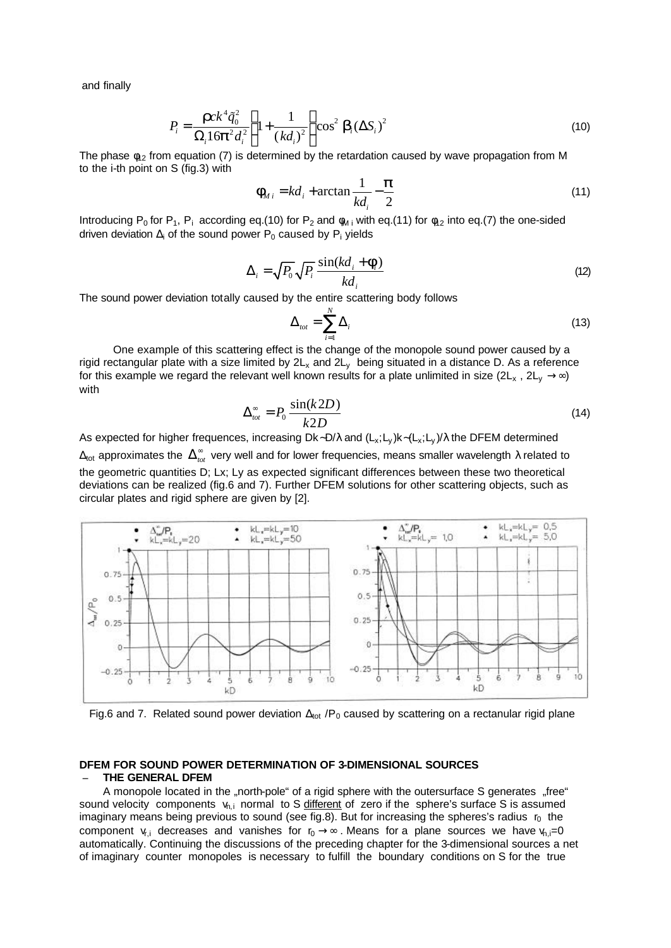and finally

$$
P_i = \frac{\mathbf{r} c k^4 \tilde{q}_0^2}{\Omega_i 16 \mathbf{p}^2 d_i^2} \left( 1 + \frac{1}{\left(k d_i\right)^2} \right) \cos^2 \mathbf{b}_i \left(\Delta S_i\right)^2 \tag{10}
$$

The phase  $\phi_{12}$  from equation (7) is determined by the retardation caused by wave propagation from M to the i-th point on S (fig.3) with

$$
\mathbf{f}_{Mi} = kd_i + \arctan\frac{1}{kd_i} - \frac{\mathbf{p}}{2}
$$
 (11)

Introducing P<sub>0</sub> for P<sub>1</sub>, P<sub>i</sub> according eq.(10) for P<sub>2</sub> and  $\phi_{\text{M}i}$  with eq.(11) for  $\phi_{12}$  into eq.(7) the one-sided driven deviation  $\Delta_i$  of the sound power  $P_0$  caused by  $P_i$  yields

$$
\Delta_i = \sqrt{P_0} \sqrt{P_i} \frac{\sin(kd_i + f_i)}{kd_i}
$$
\n(12)

The sound power deviation totally caused by the entire scattering body follows

$$
\Delta_{\text{tot}} = \sum_{i=1}^{N} \Delta_i \tag{13}
$$

 One example of this scattering effect is the change of the monopole sound power caused by a rigid rectangular plate with a size limited by  $2L_x$  and  $2L_y$  being situated in a distance D. As a reference for this example we regard the relevant well known results for a plate unlimited in size (2L<sub>x</sub>, 2L<sub>y</sub>  $\rightarrow \infty$ ) with

$$
\Delta_{\text{tot}}^{\infty} = P_0 \frac{\sin(k2D)}{k2D} \tag{14}
$$

As expected for higher frequences, increasing Dk∼D/λ and (L<sub>x</sub>;L<sub>v</sub>)k∼(L<sub>x</sub>;L<sub>v</sub>)/λ the DFEM determined  $\Delta_{\rm tot}$  approximates the  $\Delta_{\rm tot}^\infty$  very well and for lower frequencies, means smaller wavelength λ related to the geometric quantities D; Lx; Ly as expected significant differences between these two theoretical deviations can be realized (fig.6 and 7). Further DFEM solutions for other scattering objects, such as circular plates and rigid sphere are given by [2].



Fig.6 and 7. Related sound power deviation  $\Delta_{\text{tot}}$  /P<sub>0</sub> caused by scattering on a rectanular rigid plane

### **DFEM FOR SOUND POWER DETERMINATION OF 3-DIMENSIONAL SOURCES – THE GENERAL DFEM**

A monopole located in the "north-pole" of a rigid sphere with the outersurface S generates "free" sound velocity components  $v_{n,i}$  normal to S different of zero if the sphere's surface S is assumed imaginary means being previous to sound (see fig.8). But for increasing the spheres's radius  $r_0$  the component  $v_{i,j}$  decreases and vanishes for  $r_0 \rightarrow \infty$ . Means for a plane sources we have  $v_{i,j}=0$ automatically. Continuing the discussions of the preceding chapter for the 3-dimensional sources a net of imaginary counter monopoles is necessary to fulfill the boundary conditions on S for the true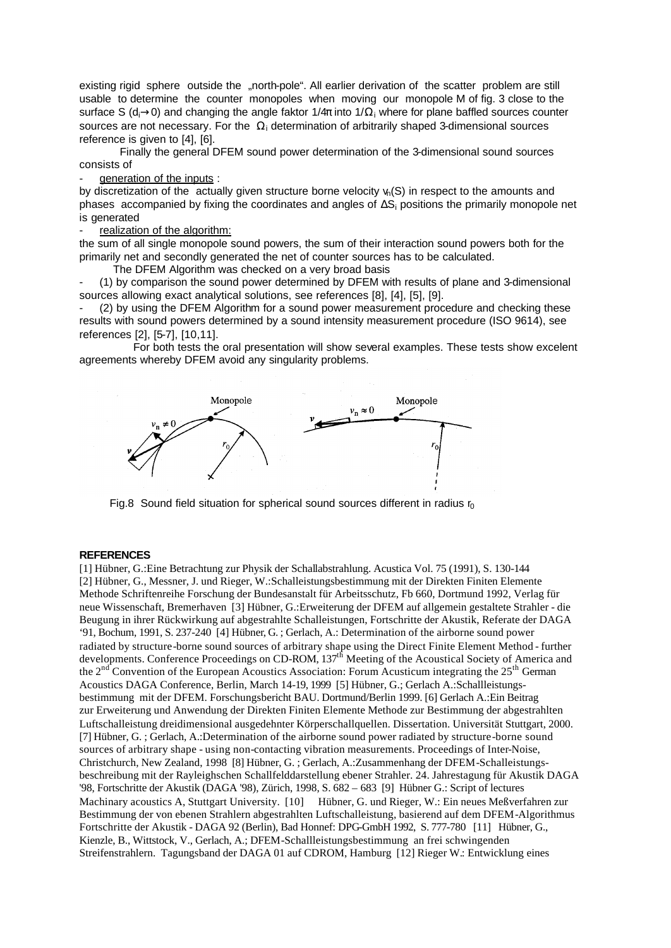existing rigid sphere outside the "north-pole". All earlier derivation of the scatter problem are still usable to determine the counter monopoles when moving our monopole M of fig. 3 close to the surface S (d<sub>i</sub>→0) and changing the angle faktor 1/4 $\pi$  into 1/Ω<sub>i</sub> where for plane baffled sources counter sources are not necessary. For the  $\Omega_i$  determination of arbitrarily shaped 3-dimensional sources reference is given to [4], [6].

 Finally the general DFEM sound power determination of the 3-dimensional sound sources consists of

### generation of the inputs :

by discretization of the actually given structure borne velocity  $v_n(S)$  in respect to the amounts and phases accompanied by fixing the coordinates and angles of  $\Delta S_i$  positions the primarily monopole net is generated

### realization of the algorithm:

the sum of all single monopole sound powers, the sum of their interaction sound powers both for the primarily net and secondly generated the net of counter sources has to be calculated.

The DFEM Algorithm was checked on a very broad basis

- (1) by comparison the sound power determined by DFEM with results of plane and 3-dimensional sources allowing exact analytical solutions, see references [8], [4], [5], [9].

(2) by using the DFEM Algorithm for a sound power measurement procedure and checking these results with sound powers determined by a sound intensity measurement procedure (ISO 9614), see references [2], [5-7], [10,11].

 For both tests the oral presentation will show several examples. These tests show excelent agreements whereby DFEM avoid any singularity problems.



Fig.8 Sound field situation for spherical sound sources different in radius  $r_0$ 

### **REFERENCES**

[1] Hübner, G.:Eine Betrachtung zur Physik der Schallabstrahlung. Acustica Vol. 75 (1991), S. 130-144 [2] Hübner, G., Messner, J. und Rieger, W.:Schalleistungsbestimmung mit der Direkten Finiten Elemente Methode Schriftenreihe Forschung der Bundesanstalt für Arbeitsschutz, Fb 660, Dortmund 1992, Verlag für neue Wissenschaft, Bremerhaven [3] Hübner, G.:Erweiterung der DFEM auf allgemein gestaltete Strahler - die Beugung in ihrer Rückwirkung auf abgestrahlte Schalleistungen, Fortschritte der Akustik, Referate der DAGA '91, Bochum, 1991, S. 237-240 [4] Hübner, G. ; Gerlach, A.: Determination of the airborne sound power radiated by structure-borne sound sources of arbitrary shape using the Direct Finite Element Method - further developments. Conference Proceedings on CD-ROM, 137<sup>th</sup> Meeting of the Acoustical Society of America and the 2<sup>nd</sup> Convention of the European Acoustics Association: Forum Acusticum integrating the 25<sup>th</sup> German Acoustics DAGA Conference, Berlin, March 14-19, 1999 [5] Hübner, G.; Gerlach A.:Schallleistungsbestimmung mit der DFEM. Forschungsbericht BAU. Dortmund/Berlin 1999. [6] Gerlach A.:Ein Beitrag zur Erweiterung und Anwendung der Direkten Finiten Elemente Methode zur Bestimmung der abgestrahlten Luftschalleistung dreidimensional ausgedehnter Körperschallquellen. Dissertation. Universität Stuttgart, 2000. [7] Hübner, G. ; Gerlach, A.:Determination of the airborne sound power radiated by structure-borne sound sources of arbitrary shape - using non-contacting vibration measurements. Proceedings of Inter-Noise, Christchurch, New Zealand, 1998 [8] Hübner, G. ; Gerlach, A.:Zusammenhang der DFEM-Schalleistungsbeschreibung mit der Rayleighschen Schallfelddarstellung ebener Strahler. 24. Jahrestagung für Akustik DAGA '98, Fortschritte der Akustik (DAGA '98), Zürich, 1998, S. 682 – 683 [9] Hübner G.: Script of lectures Machinary acoustics A, Stuttgart University. [10] Hübner, G. und Rieger, W.: Ein neues Meßverfahren zur Bestimmung der von ebenen Strahlern abgestrahlten Luftschalleistung, basierend auf dem DFEM-Algorithmus Fortschritte der Akustik - DAGA 92 (Berlin), Bad Honnef: DPG-GmbH 1992, S. 777-780 [11] Hübner, G., Kienzle, B., Wittstock, V., Gerlach, A.; DFEM-Schallleistungsbestimmung an frei schwingenden Streifenstrahlern. Tagungsband der DAGA 01 auf CDROM, Hamburg [12] Rieger W.: Entwicklung eines